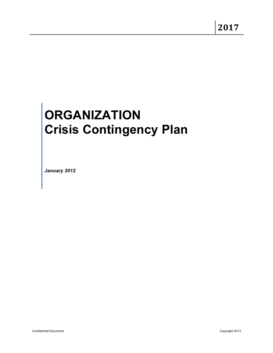# **ORGANIZATION Crisis Contingency Plan**

*January 2012*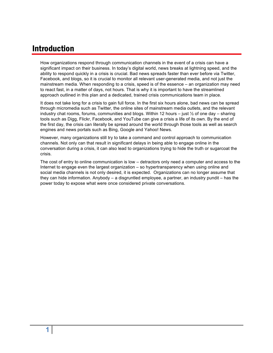## Introduction

How organizations respond through communication channels in the event of a crisis can have a significant impact on their business. In today's digital world, news breaks at lightning speed, and the ability to respond quickly in a crisis is crucial. Bad news spreads faster than ever before via Twitter, Facebook, and blogs, so it is crucial to monitor all relevant user-generated media, and not just the mainstream media. When responding to a crisis, speed is of the essence – an organization may need to react fast, in a matter of days, not hours. That is why it is important to have the streamlined approach outlined in this plan and a dedicated, trained crisis communications team in place.

It does not take long for a crisis to gain full force. In the first six hours alone, bad news can be spread through micromedia such as Twitter, the online sites of mainstream media outlets, and the relevant industry chat rooms, forums, communities and blogs. Within 12 hours – just  $\frac{1}{2}$  of one day – sharing tools such as Digg, Flickr, Facebook, and YouTube can give a crisis a life of its own. By the end of the first day, the crisis can literally be spread around the world through those tools as well as search engines and news portals such as Bing, Google and Yahoo! News.

However, many organizations still try to take a command and control approach to communication channels. Not only can that result in significant delays in being able to engage online in the conversation during a crisis, it can also lead to organizations trying to hide the truth or sugarcoat the crisis.

The cost of entry to online communication is low – detractors only need a computer and access to the Internet to engage even the largest organization – so hypertransparency when using online and social media channels is not only desired, it is expected. Organizations can no longer assume that they can hide information. Anybody – a disgruntled employee, a partner, an industry pundit – has the power today to expose what were once considered private conversations.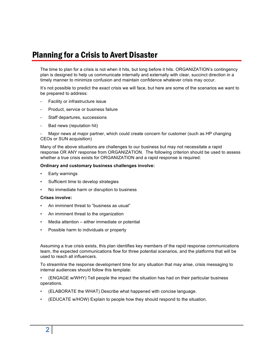## Planning for a Crisis to Avert Disaster

The time to plan for a crisis is not when it hits, but long before it hits. ORGANIZATION's contingency plan is designed to help us communicate internally and externally with clear, succinct direction in a timely manner to minimize confusion and maintain confidence whatever crisis may occur.

It's not possible to predict the exact crisis we will face, but here are some of the scenarios we want to be prepared to address:

- Facility or infrastructure issue
- Product, service or business failure
- Staff departures, successions
- Bad news (reputation hit)

Major news at major partner, which could create concern for customer (such as HP changing CEOs or SUN acquisition)

Many of the above situations are challenges to our business but may not necessitate a rapid response OR ANY response from ORGANIZATION. The following criterion should be used to assess whether a true crisis exists for ORGANIZATION and a rapid response is required:

#### **Ordinary and customary business challenges involve:**

- Early warnings
- Sufficient time to develop strategies
- No immediate harm or disruption to business

#### **Crises involve:**

- An imminent threat to "business as usual"
- An imminent threat to the organization
- Media attention  $-$  either immediate or potential
- Possible harm to individuals or property

Assuming a true crisis exists, this plan identifies key members of the rapid response communications team, the expected communications flow for three potential scenarios, and the platforms that will be used to reach all influencers.

To streamline the response development time for any situation that may arise, crisis messaging to internal audiences should follow this template:

• (ENGAGE w/WHY) Tell people the impact the situation has had on their particular business operations.

- (ELABORATE the WHAT) Describe what happened with concise language.
- (EDUCATE w/HOW) Explain to people how they should respond to the situation.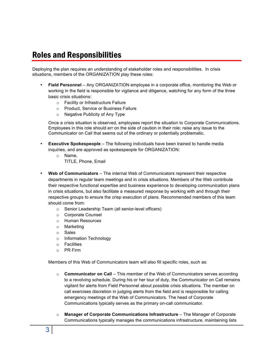## Roles and Responsibilities

Deploying the plan requires an understanding of stakeholder roles and responsibilities. In crisis situations, members of the ORGANIZATION play these roles:

- **Field Personnel** Any ORGANIZATION employee in a corporate office, monitoring the Web or working in the field is responsible for vigilance and diligence, watching for any form of the three basic crisis situations:
	- o Facility or Infrastructure Failure
	- o Product, Service or Business Failure
	- o Negative Publicity of Any Type

Once a crisis situation is observed, employees report the situation to Corporate Communications. Employees in this role should err on the side of caution in their role; raise any issue to the Communicator on Call that seems out of the ordinary or potentially problematic.

- **Executive Spokespeople**  The following individuals have been trained to handle media inquiries, and are approved as spokespeople for ORGANIZATION:
	- o Name,
		- TITLE, Phone, Email
- **Web of Communicators** The internal Web of Communicators represent their respective departments in regular team meetings and in crisis situations. Members of the Web contribute their respective functional expertise and business experience to developing communication plans in crisis situations, but also facilitate a measured response by working with and through their respective groups to ensure the crisp execution of plans. Recommended members of this team should come from:
	- o Senior Leadership Team (all senior-level officers)
	- o Corporate Counsel
	- o Human Resources
	- o Marketing
	- o Sales
	- o Information Technology
	- o Facilities
	- o PR Firm

Members of this Web of Communicators team will also fill specific roles, such as:

- o **Communicator on Call**  This member of the Web of Communicators serves according to a revolving schedule. During his or her tour of duty, the Communicator on Call remains vigilant for alerts from Field Personnel about possible crisis situations. The member on call exercises discretion in judging alerts from the field and is responsible for calling emergency meetings of the Web of Communicators. The head of Corporate Communications typically serves as the primary on-call communicator.
- o **Manager of Corporate Communications Infrastructure**  The Manager of Corporate Communications typically manages the communications infrastructure, maintaining lists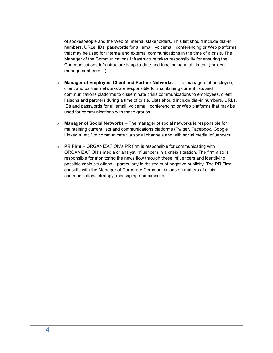of spokespeople and the Web of Internal stakeholders. This list should include dial-in numbers, URLs, IDs, passwords for all email, voicemail, conferencing or Web platforms that may be used for internal and external communications in the time of a crisis. The Manager of the Communications Infrastructure takes responsibility for ensuring the Communications Infrastructure is up-to-date and functioning at all times. (Incident management card…)

- o **Manager of Employee, Client and Partner Networks**  The managers of employee, client and partner networks are responsible for maintaining current lists and communications platforms to disseminate crisis communications to employees, client liaisons and partners during a time of crisis. Lists should include dial-in numbers, URLs, IDs and passwords for all email, voicemail, conferencing or Web platforms that may be used for communications with these groups.
- o **Manager of Social Networks** The manager of social networks is responsible for maintaining current lists and communications platforms (Twitter, Facebook, Google+, LinkedIn, etc.) to communicate via social channels and with social media influencers.
- o **PR Firm**  ORGANIZATION's PR firm is responsible for communicating with ORGANIZATION's media or analyst influencers in a crisis situation. The firm also is responsible for monitoring the news flow through these influencers and identifying possible crisis situations – particularly in the realm of negative publicity. The PR Firm consults with the Manager of Corporate Communications on matters of crisis communications strategy, messaging and execution.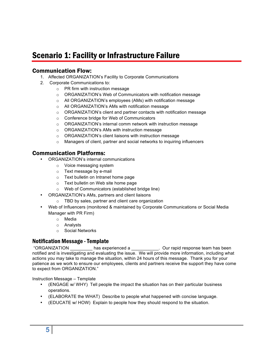## Scenario 1: Facility or Infrastructure Failure

## Communication Flow:

- 1. Affected ORGANIZATION's Facility to Corporate Communications
- 2. Corporate Communications to:
	- o PR firm with instruction message
	- o ORGANIZATION's Web of Communicators with notification message
	- o All ORGANIZATION's employees (AMs) with notification message
	- o All ORGANIZATION's AMs with notification message
	- o ORGANIZATION's client and partner contacts with notification message
	- o Conference bridge for Web of Communicators
	- o ORGANIZATION's internal comm network with instruction message
	- o ORGANIZATION's AMs with instruction message
	- o ORGANIZATION's client liaisons with instruction message
	- o Managers of client, partner and social networks to inquiring influencers

#### Communication Platforms:

- ORGANIZATION's internal communications
	- o Voice messaging system
	- o Text message by e-mail
	- o Text bulletin on Intranet home page
	- o Text bulletin on Web site home page
	- o Web of Communicators (established bridge line)
- ORGANIZATION's AMs, partners and client liaisons
	- o TBD by sales, partner and client care organization
- Web of Influencers (monitored & maintained by Corporate Communications or Social Media Manager with PR Firm)
	- o Media
	- o Analysts
	- o Social Networks

#### Notification Message -Template

"ORGANIZATION \_\_\_\_\_\_\_\_\_ has experienced a \_\_\_\_\_\_\_\_\_\_\_. Our rapid response team has been notified and is investigating and evaluating the issue. We will provide more information, including what actions you may take to manage the situation, within 24 hours of this message. Thank you for your patience as we work to ensure our employees, clients and partners receive the support they have come to expect from ORGANIZATION."

Instruction Message – Template

- (ENGAGE w/ WHY) Tell people the impact the situation has on their particular business operations.
- (ELABORATE the WHAT) Describe to people what happened with concise language.
- (EDUCATE w/ HOW) Explain to people how they should respond to the situation.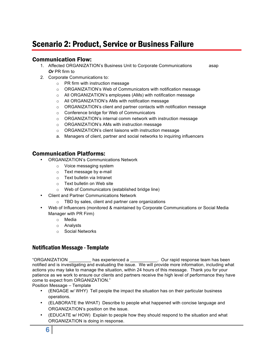# Scenario 2: Product, Service or Business Failure

## Communication Flow:

- 1. Affected ORGANIZATION's Business Unit to Corporate Communications asap *Or* PR firm to
- 2. Corporate Communications to:
	- o PR firm with instruction message
	- o ORGANIZATION's Web of Communicators with notification message
	- o All ORGANIZATION's employees (AMs) with notification message
	- o All ORGANIZATION's AMs with notification message
	- $\circ$  ORGANIZATION's client and partner contacts with notification message
	- o Conference bridge for Web of Communicators
	- o ORGANIZATION's internal comm network with instruction message
	- o ORGANIZATION's AMs with instruction message
	- o ORGANIZATION's client liaisons with instruction message
	- a. Managers of client, partner and social networks to inquiring influencers

#### Communication Platforms:

- ORGANIZATION's Communications Network
	- o Voice messaging system
	- o Text message by e-mail
	- o Text bulletin via Intranet
	- o Text bulletin on Web site
	- o Web of Communicators (established bridge line)
- Client and Partner Communications Network
	- o TBD by sales, client and partner care organizations
- Web of Influencers (monitored & maintained by Corporate Communications or Social Media Manager with PR Firm)
	- o Media
	- o Analysts
	- o Social Networks

#### Notification Message -Template

"ORGANIZATION \_\_\_\_\_\_\_\_\_ has experienced a \_\_\_\_\_\_\_\_\_\_\_. Our rapid response team has been notified and is investigating and evaluating the issue. We will provide more information, including what actions you may take to manage the situation, within 24 hours of this message. Thank you for your patience as we work to ensure our clients and partners receive the high level of performance they have come to expect from ORGANIZATION."

Position Message – Template

- (ENGAGE w/ WHY) Tell people the impact the situation has on their particular business operations.
- (ELABORATE the WHAT) Describe to people what happened with concise language and ORGANIZATION's position on the issue.
- (EDUCATE w/ HOW) Explain to people how they should respond to the situation and what ORGANIZATION is doing in response.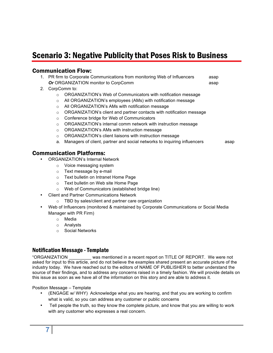## Scenario 3: Negative Publicity that Poses Risk to Business

#### Communication Flow:

| $\bigcap_{n=1}^{\infty}$ $\bigcap_{n=1}^{\infty}$ $\bigcap_{n=1}^{\infty}$ $\bigcap_{n=1}^{\infty}$ $\bigcap_{n=1}^{\infty}$ |      |
|------------------------------------------------------------------------------------------------------------------------------|------|
| <b>Or</b> ORGANIZATION monitor to CorpComm                                                                                   | asap |
| 1. PR firm to Corporate Communications from monitoring Web of Influencers                                                    | asap |

- 2. CorpComm to:
	- o ORGANIZATION's Web of Communicators with notification message
	- o All ORGANIZATION's employees (AMs) with notification message
	- o All ORGANIZATION's AMs with notification message
	- o ORGANIZATION's client and partner contacts with notification message
	- o Conference bridge for Web of Communicators
	- o ORGANIZATION's internal comm network with instruction message
	- o ORGANIZATION's AMs with instruction message
	- o ORGANIZATION's client liaisons with instruction message
	- a. Managers of client, partner and social networks to inquiring influencers asap

#### Communication Platforms:

- ORGANIZATION's Internal Network
	- o Voice messaging system
	- o Text message by e-mail
	- o Text bulletin on Intranet Home Page
	- o Text bulletin on Web site Home Page
	- o Web of Communicators (established bridge line)
- Client and Partner Communications Network
	- o TBD by sales/client and partner care organization
- Web of Influencers (monitored & maintained by Corporate Communications or Social Media Manager with PR Firm)
	- o Media
	- o Analysts
	- o Social Networks

#### Notification Message -Template

"ORGANIZATION \_\_\_\_\_\_\_\_\_ was mentioned in a recent report on TITLE OF REPORT. We were not asked for input to this article, and do not believe the examples shared present an accurate picture of the industry today. We have reached out to the editors of NAME OF PUBLISHER to better understand the source of their findings, and to address any concerns raised in a timely fashion. We will provide details on this issue as soon as we have all of the information on this story and are able to address it.

Position Message – Template

- (ENGAGE w/ WHY) Acknowledge what you are hearing, and that you are working to confirm what is valid, so you can address any customer or public concerns
- Tell people the truth, so they know the complete picture, and know that you are willing to work with any customer who expresses a real concern.